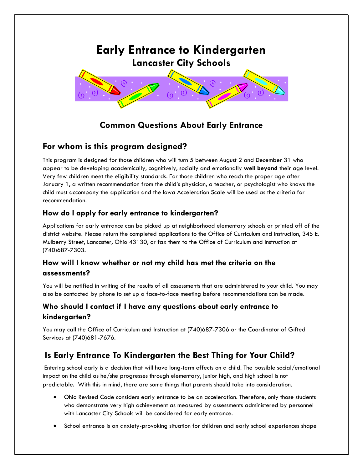

# **Common Questions About Early Entrance**

## **For whom is this program designed?**

This program is designed for those children who will turn 5 between August 2 and December 31 who appear to be developing academically, cognitively, socially and emotionally **well beyond** their age level. Very few children meet the eligibility standards. For those children who reach the proper age after January 1, a written recommendation from the child's physician, a teacher, or psychologist who knows the child must accompany the application and the Iowa Acceleration Scale will be used as the criteria for recommendation.

### **How do I apply for early entrance to kindergarten?**

Applications for early entrance can be picked up at neighborhood elementary schools or printed off of the district website. Please return the completed applications to the Office of Curriculum and Instruction, 345 E. Mulberry Street, Lancaster, Ohio 43130, or fax them to the Office of Curriculum and Instruction at (740)687-7303.

### **How will I know whether or not my child has met the criteria on the assessments?**

You will be notified in writing of the results of all assessments that are administered to your child. You may also be contacted by phone to set up a face-to-face meeting before recommendations can be made.

### **Who should I contact if I have any questions about early entrance to kindergarten?**

You may call the Office of Curriculum and Instruction at (740)687-7306 or the Coordinator of Gifted Services at (740)681-7676.

## **Is Early Entrance To Kindergarten the Best Thing for Your Child?**

Entering school early is a decision that will have long-term effects on a child. The possible social/emotional impact on the child as he/she progresses through elementary, junior high, and high school is not predictable. With this in mind, there are some things that parents should take into consideration.

- Ohio Revised Code considers early entrance to be an acceleration. Therefore, only those students who demonstrate very high achievement as measured by assessments administered by personnel with Lancaster City Schools will be considered for early entrance.
- School entrance is an anxiety-provoking situation for children and early school experiences shape